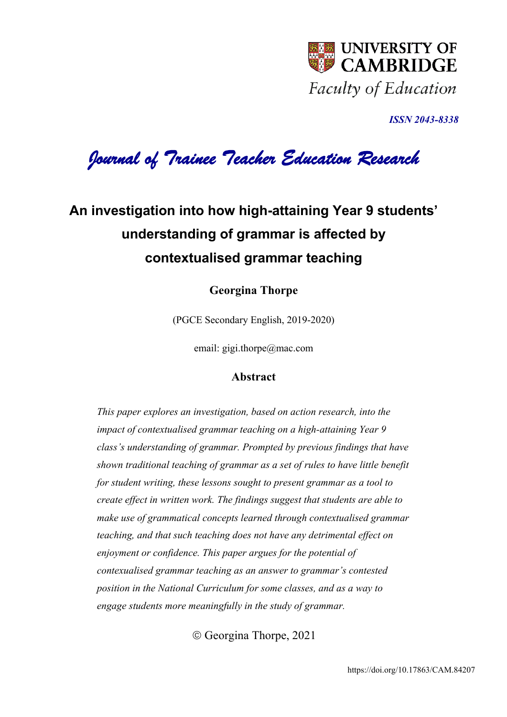

*ISSN 2043-8338* 

*Journal of Trainee Teacher Education Research* 

## **An investigation into how high-attaining Year 9 students' understanding of grammar is affected by contextualised grammar teaching**

**Georgina Thorpe**

(PGCE Secondary English, 2019-2020)

email: gigi.thorpe@mac.com

## **Abstract**

*This paper explores an investigation, based on action research, into the impact of contextualised grammar teaching on a high-attaining Year 9 class's understanding of grammar. Prompted by previous findings that have shown traditional teaching of grammar as a set of rules to have little benefit for student writing, these lessons sought to present grammar as a tool to create effect in written work. The findings suggest that students are able to make use of grammatical concepts learned through contextualised grammar teaching, and that such teaching does not have any detrimental effect on enjoyment or confidence. This paper argues for the potential of contexualised grammar teaching as an answer to grammar's contested position in the National Curriculum for some classes, and as a way to engage students more meaningfully in the study of grammar.* 

© Georgina Thorpe, 2021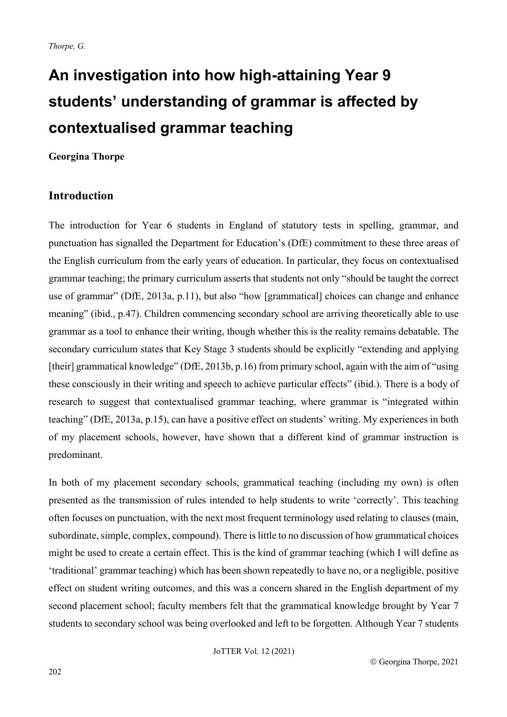# **An investigation into how high-attaining Year 9 students' understanding of grammar is affected by contextualised grammar teaching**

#### **Georgina Thorpe**

## **Introduction**

The introduction for Year 6 students in England of statutory tests in spelling, grammar, and punctuation has signalled the Department for Education's (DfE) commitment to these three areas of the English curriculum from the early years of education. In particular, they focus on contextualised grammar teaching; the primary curriculum asserts that students not only "should be taught the correct use of grammar" (DfE, 2013a, p.11), but also "how [grammatical] choices can change and enhance meaning" (ibid., p.47). Children commencing secondary school are arriving theoretically able to use grammar as a tool to enhance their writing, though whether this is the reality remains debatable. The secondary curriculum states that Key Stage 3 students should be explicitly "extending and applying [their] grammatical knowledge" (DfE, 2013b, p.16) from primary school, again with the aim of "using these consciously in their writing and speech to achieve particular effects" (ibid.). There is a body of research to suggest that contextualised grammar teaching, where grammar is "integrated within teaching" (DfE, 2013a, p.15), can have a positive effect on students' writing. My experiences in both of my placement schools, however, have shown that a different kind of grammar instruction is predominant.

In both of my placement secondary schools, grammatical teaching (including my own) is often presented as the transmission of rules intended to help students to write 'correctly'. This teaching often focuses on punctuation, with the next most frequent terminology used relating to clauses (main, subordinate, simple, complex, compound). There is little to no discussion of how grammatical choices might be used to create a certain effect. This is the kind of grammar teaching (which I will define as 'traditional' grammar teaching) which has been shown repeatedly to have no, or a negligible, positive effect on student writing outcomes, and this was a concern shared in the English department of my second placement school; faculty members felt that the grammatical knowledge brought by Year 7 students to secondary school was being overlooked and left to be forgotten. Although Year 7 students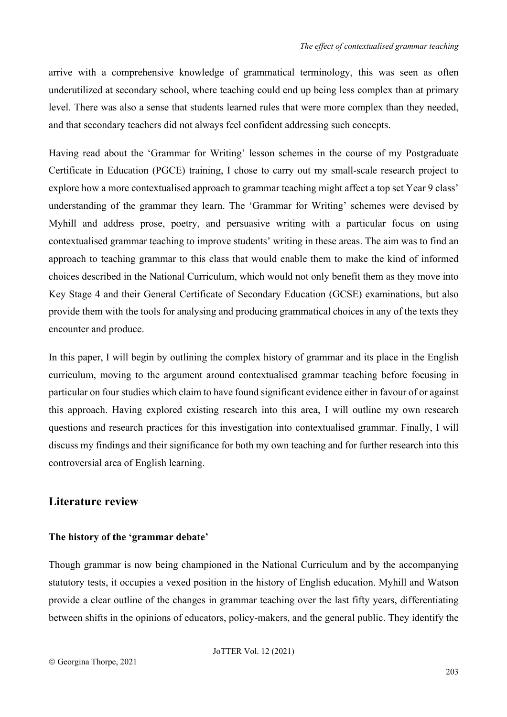arrive with a comprehensive knowledge of grammatical terminology, this was seen as often underutilized at secondary school, where teaching could end up being less complex than at primary level. There was also a sense that students learned rules that were more complex than they needed, and that secondary teachers did not always feel confident addressing such concepts.

Having read about the 'Grammar for Writing' lesson schemes in the course of my Postgraduate Certificate in Education (PGCE) training, I chose to carry out my small-scale research project to explore how a more contextualised approach to grammar teaching might affect a top set Year 9 class' understanding of the grammar they learn. The 'Grammar for Writing' schemes were devised by Myhill and address prose, poetry, and persuasive writing with a particular focus on using contextualised grammar teaching to improve students' writing in these areas. The aim was to find an approach to teaching grammar to this class that would enable them to make the kind of informed choices described in the National Curriculum, which would not only benefit them as they move into Key Stage 4 and their General Certificate of Secondary Education (GCSE) examinations, but also provide them with the tools for analysing and producing grammatical choices in any of the texts they encounter and produce.

In this paper, I will begin by outlining the complex history of grammar and its place in the English curriculum, moving to the argument around contextualised grammar teaching before focusing in particular on four studies which claim to have found significant evidence either in favour of or against this approach. Having explored existing research into this area, I will outline my own research questions and research practices for this investigation into contextualised grammar. Finally, I will discuss my findings and their significance for both my own teaching and for further research into this controversial area of English learning.

## **Literature review**

#### **The history of the 'grammar debate'**

Though grammar is now being championed in the National Curriculum and by the accompanying statutory tests, it occupies a vexed position in the history of English education. Myhill and Watson provide a clear outline of the changes in grammar teaching over the last fifty years, differentiating between shifts in the opinions of educators, policy-makers, and the general public. They identify the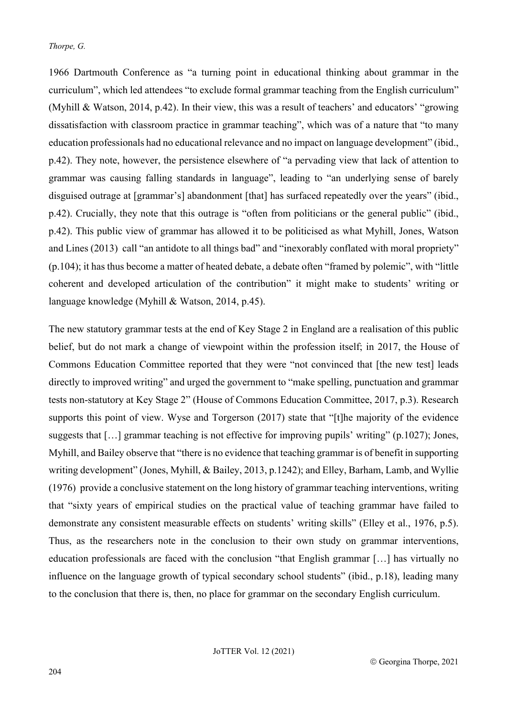1966 Dartmouth Conference as "a turning point in educational thinking about grammar in the curriculum", which led attendees "to exclude formal grammar teaching from the English curriculum" (Myhill & Watson, 2014, p.42). In their view, this was a result of teachers' and educators' "growing dissatisfaction with classroom practice in grammar teaching", which was of a nature that "to many education professionals had no educational relevance and no impact on language development" (ibid., p.42). They note, however, the persistence elsewhere of "a pervading view that lack of attention to grammar was causing falling standards in language", leading to "an underlying sense of barely disguised outrage at [grammar's] abandonment [that] has surfaced repeatedly over the years" (ibid., p.42). Crucially, they note that this outrage is "often from politicians or the general public" (ibid., p.42). This public view of grammar has allowed it to be politicised as what Myhill, Jones, Watson and Lines (2013) call "an antidote to all things bad" and "inexorably conflated with moral propriety" (p.104); it has thus become a matter of heated debate, a debate often "framed by polemic", with "little coherent and developed articulation of the contribution" it might make to students' writing or language knowledge (Myhill & Watson, 2014, p.45).

The new statutory grammar tests at the end of Key Stage 2 in England are a realisation of this public belief, but do not mark a change of viewpoint within the profession itself; in 2017, the House of Commons Education Committee reported that they were "not convinced that [the new test] leads directly to improved writing" and urged the government to "make spelling, punctuation and grammar tests non-statutory at Key Stage 2" (House of Commons Education Committee, 2017, p.3). Research supports this point of view. Wyse and Torgerson (2017) state that "[t]he majority of the evidence suggests that [...] grammar teaching is not effective for improving pupils' writing" (p.1027); Jones, Myhill, and Bailey observe that "there is no evidence that teaching grammar is of benefit in supporting writing development" (Jones, Myhill, & Bailey, 2013, p.1242); and Elley, Barham, Lamb, and Wyllie (1976) provide a conclusive statement on the long history of grammar teaching interventions, writing that "sixty years of empirical studies on the practical value of teaching grammar have failed to demonstrate any consistent measurable effects on students' writing skills" (Elley et al., 1976, p.5). Thus, as the researchers note in the conclusion to their own study on grammar interventions, education professionals are faced with the conclusion "that English grammar […] has virtually no influence on the language growth of typical secondary school students" (ibid., p.18), leading many to the conclusion that there is, then, no place for grammar on the secondary English curriculum.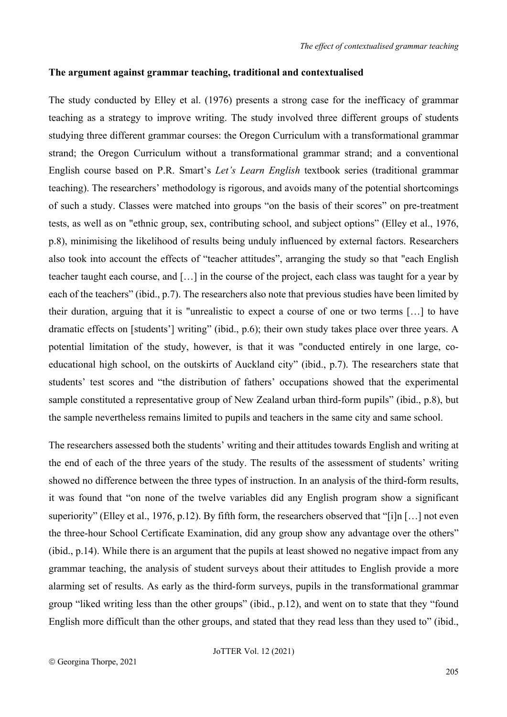#### **The argument against grammar teaching, traditional and contextualised**

The study conducted by Elley et al. (1976) presents a strong case for the inefficacy of grammar teaching as a strategy to improve writing. The study involved three different groups of students studying three different grammar courses: the Oregon Curriculum with a transformational grammar strand; the Oregon Curriculum without a transformational grammar strand; and a conventional English course based on P.R. Smart's *Let's Learn English* textbook series (traditional grammar teaching). The researchers' methodology is rigorous, and avoids many of the potential shortcomings of such a study. Classes were matched into groups "on the basis of their scores" on pre-treatment tests, as well as on "ethnic group, sex, contributing school, and subject options" (Elley et al., 1976, p.8), minimising the likelihood of results being unduly influenced by external factors. Researchers also took into account the effects of "teacher attitudes", arranging the study so that "each English teacher taught each course, and […] in the course of the project, each class was taught for a year by each of the teachers" (ibid., p.7). The researchers also note that previous studies have been limited by their duration, arguing that it is "unrealistic to expect a course of one or two terms […] to have dramatic effects on [students'] writing" (ibid., p.6); their own study takes place over three years. A potential limitation of the study, however, is that it was "conducted entirely in one large, coeducational high school, on the outskirts of Auckland city" (ibid., p.7). The researchers state that students' test scores and "the distribution of fathers' occupations showed that the experimental sample constituted a representative group of New Zealand urban third-form pupils" (ibid., p.8), but the sample nevertheless remains limited to pupils and teachers in the same city and same school.

The researchers assessed both the students' writing and their attitudes towards English and writing at the end of each of the three years of the study. The results of the assessment of students' writing showed no difference between the three types of instruction. In an analysis of the third-form results, it was found that "on none of the twelve variables did any English program show a significant superiority" (Elley et al., 1976, p.12). By fifth form, the researchers observed that "[i]n […] not even the three-hour School Certificate Examination, did any group show any advantage over the others" (ibid., p.14). While there is an argument that the pupils at least showed no negative impact from any grammar teaching, the analysis of student surveys about their attitudes to English provide a more alarming set of results. As early as the third-form surveys, pupils in the transformational grammar group "liked writing less than the other groups" (ibid., p.12), and went on to state that they "found English more difficult than the other groups, and stated that they read less than they used to" (ibid.,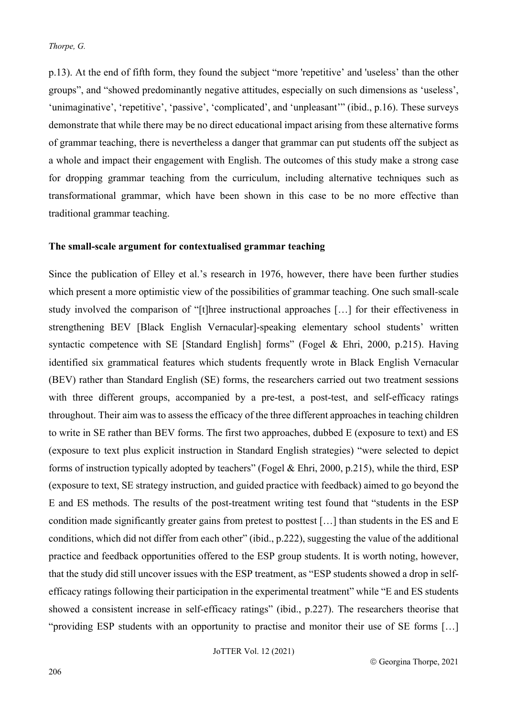p.13). At the end of fifth form, they found the subject "more 'repetitive' and 'useless' than the other groups", and "showed predominantly negative attitudes, especially on such dimensions as 'useless', 'unimaginative', 'repetitive', 'passive', 'complicated', and 'unpleasant'" (ibid., p.16). These surveys demonstrate that while there may be no direct educational impact arising from these alternative forms of grammar teaching, there is nevertheless a danger that grammar can put students off the subject as a whole and impact their engagement with English. The outcomes of this study make a strong case for dropping grammar teaching from the curriculum, including alternative techniques such as transformational grammar, which have been shown in this case to be no more effective than traditional grammar teaching.

#### **The small-scale argument for contextualised grammar teaching**

Since the publication of Elley et al.'s research in 1976, however, there have been further studies which present a more optimistic view of the possibilities of grammar teaching. One such small-scale study involved the comparison of "[t]hree instructional approaches […] for their effectiveness in strengthening BEV [Black English Vernacular]-speaking elementary school students' written syntactic competence with SE [Standard English] forms" (Fogel & Ehri, 2000, p.215). Having identified six grammatical features which students frequently wrote in Black English Vernacular (BEV) rather than Standard English (SE) forms, the researchers carried out two treatment sessions with three different groups, accompanied by a pre-test, a post-test, and self-efficacy ratings throughout. Their aim was to assess the efficacy of the three different approaches in teaching children to write in SE rather than BEV forms. The first two approaches, dubbed E (exposure to text) and ES (exposure to text plus explicit instruction in Standard English strategies) "were selected to depict forms of instruction typically adopted by teachers" (Fogel & Ehri, 2000, p.215), while the third, ESP (exposure to text, SE strategy instruction, and guided practice with feedback) aimed to go beyond the E and ES methods. The results of the post-treatment writing test found that "students in the ESP condition made significantly greater gains from pretest to posttest […] than students in the ES and E conditions, which did not differ from each other" (ibid., p.222), suggesting the value of the additional practice and feedback opportunities offered to the ESP group students. It is worth noting, however, that the study did still uncover issues with the ESP treatment, as "ESP students showed a drop in selfefficacy ratings following their participation in the experimental treatment" while "E and ES students showed a consistent increase in self-efficacy ratings" (ibid., p.227). The researchers theorise that "providing ESP students with an opportunity to practise and monitor their use of SE forms […]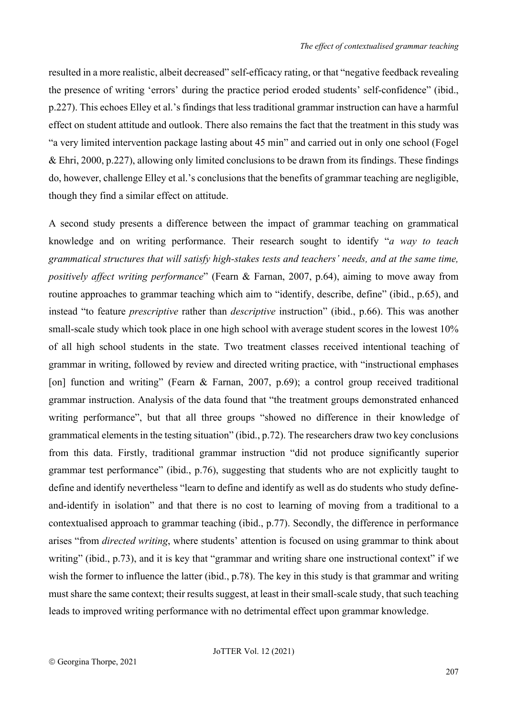resulted in a more realistic, albeit decreased" self-efficacy rating, or that "negative feedback revealing the presence of writing 'errors' during the practice period eroded students' self-confidence" (ibid., p.227). This echoes Elley et al.'s findings that less traditional grammar instruction can have a harmful effect on student attitude and outlook. There also remains the fact that the treatment in this study was "a very limited intervention package lasting about 45 min" and carried out in only one school (Fogel & Ehri, 2000, p.227), allowing only limited conclusions to be drawn from its findings. These findings do, however, challenge Elley et al.'s conclusions that the benefits of grammar teaching are negligible, though they find a similar effect on attitude.

A second study presents a difference between the impact of grammar teaching on grammatical knowledge and on writing performance. Their research sought to identify "*a way to teach grammatical structures that will satisfy high-stakes tests and teachers' needs, and at the same time, positively affect writing performance*" (Fearn & Farnan, 2007, p.64), aiming to move away from routine approaches to grammar teaching which aim to "identify, describe, define" (ibid., p.65), and instead "to feature *prescriptive* rather than *descriptive* instruction" (ibid., p.66). This was another small-scale study which took place in one high school with average student scores in the lowest 10% of all high school students in the state. Two treatment classes received intentional teaching of grammar in writing, followed by review and directed writing practice, with "instructional emphases [on] function and writing" (Fearn & Farnan, 2007, p.69); a control group received traditional grammar instruction. Analysis of the data found that "the treatment groups demonstrated enhanced writing performance", but that all three groups "showed no difference in their knowledge of grammatical elements in the testing situation" (ibid., p.72). The researchers draw two key conclusions from this data. Firstly, traditional grammar instruction "did not produce significantly superior grammar test performance" (ibid., p.76), suggesting that students who are not explicitly taught to define and identify nevertheless "learn to define and identify as well as do students who study defineand-identify in isolation" and that there is no cost to learning of moving from a traditional to a contextualised approach to grammar teaching (ibid., p.77). Secondly, the difference in performance arises "from *directed writing*, where students' attention is focused on using grammar to think about writing" (ibid., p.73), and it is key that "grammar and writing share one instructional context" if we wish the former to influence the latter (ibid., p.78). The key in this study is that grammar and writing must share the same context; their results suggest, at least in their small-scale study, that such teaching leads to improved writing performance with no detrimental effect upon grammar knowledge.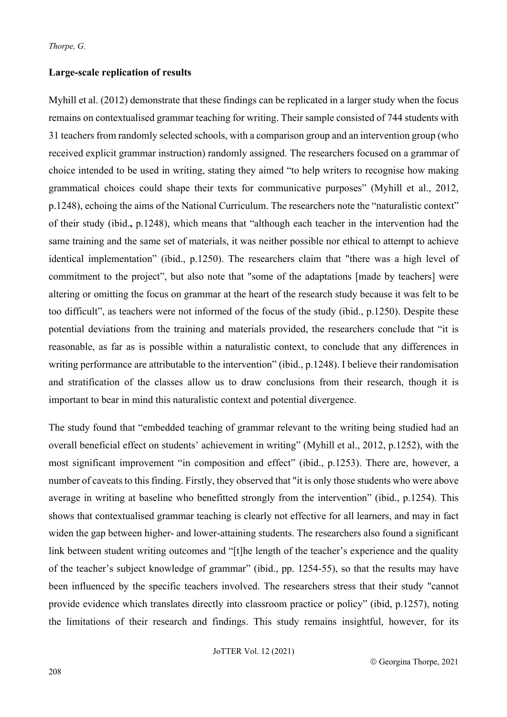#### **Large-scale replication of results**

Myhill et al. (2012) demonstrate that these findings can be replicated in a larger study when the focus remains on contextualised grammar teaching for writing. Their sample consisted of 744 students with 31 teachers from randomly selected schools, with a comparison group and an intervention group (who received explicit grammar instruction) randomly assigned. The researchers focused on a grammar of choice intended to be used in writing, stating they aimed "to help writers to recognise how making grammatical choices could shape their texts for communicative purposes" (Myhill et al., 2012, p.1248), echoing the aims of the National Curriculum. The researchers note the "naturalistic context" of their study (ibid.**,** p.1248), which means that "although each teacher in the intervention had the same training and the same set of materials, it was neither possible nor ethical to attempt to achieve identical implementation" (ibid., p.1250). The researchers claim that "there was a high level of commitment to the project", but also note that "some of the adaptations [made by teachers] were altering or omitting the focus on grammar at the heart of the research study because it was felt to be too difficult", as teachers were not informed of the focus of the study (ibid., p.1250). Despite these potential deviations from the training and materials provided, the researchers conclude that "it is reasonable, as far as is possible within a naturalistic context, to conclude that any differences in writing performance are attributable to the intervention" (ibid., p.1248). I believe their randomisation and stratification of the classes allow us to draw conclusions from their research, though it is important to bear in mind this naturalistic context and potential divergence.

The study found that "embedded teaching of grammar relevant to the writing being studied had an overall beneficial effect on students' achievement in writing" (Myhill et al., 2012, p.1252), with the most significant improvement "in composition and effect" (ibid., p.1253). There are, however, a number of caveats to this finding. Firstly, they observed that "it is only those students who were above average in writing at baseline who benefitted strongly from the intervention" (ibid., p.1254). This shows that contextualised grammar teaching is clearly not effective for all learners, and may in fact widen the gap between higher- and lower-attaining students. The researchers also found a significant link between student writing outcomes and "[t]he length of the teacher's experience and the quality of the teacher's subject knowledge of grammar" (ibid., pp. 1254-55), so that the results may have been influenced by the specific teachers involved. The researchers stress that their study "cannot provide evidence which translates directly into classroom practice or policy" (ibid, p.1257), noting the limitations of their research and findings. This study remains insightful, however, for its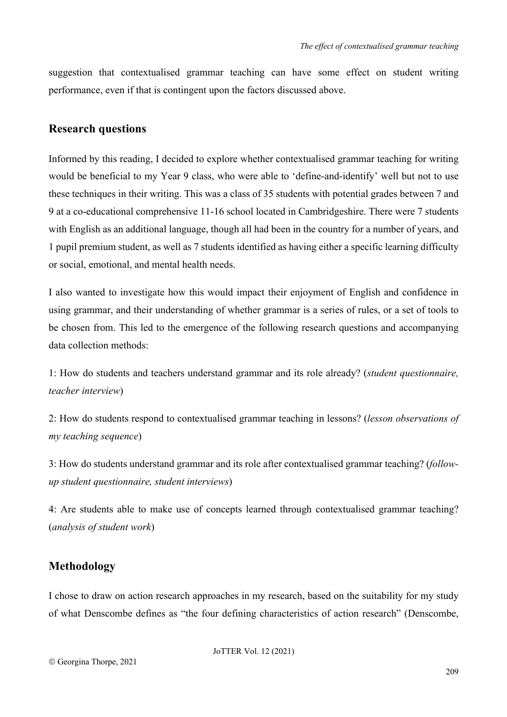suggestion that contextualised grammar teaching can have some effect on student writing performance, even if that is contingent upon the factors discussed above.

#### **Research questions**

Informed by this reading, I decided to explore whether contextualised grammar teaching for writing would be beneficial to my Year 9 class, who were able to 'define-and-identify' well but not to use these techniques in their writing. This was a class of 35 students with potential grades between 7 and 9 at a co-educational comprehensive 11-16 school located in Cambridgeshire. There were 7 students with English as an additional language, though all had been in the country for a number of years, and 1 pupil premium student, as well as 7 students identified as having either a specific learning difficulty or social, emotional, and mental health needs.

I also wanted to investigate how this would impact their enjoyment of English and confidence in using grammar, and their understanding of whether grammar is a series of rules, or a set of tools to be chosen from. This led to the emergence of the following research questions and accompanying data collection methods:

1: How do students and teachers understand grammar and its role already? (*student questionnaire, teacher interview*)

2: How do students respond to contextualised grammar teaching in lessons? (*lesson observations of my teaching sequence*)

3: How do students understand grammar and its role after contextualised grammar teaching? (*followup student questionnaire, student interviews*)

4: Are students able to make use of concepts learned through contextualised grammar teaching? (*analysis of student work*)

## **Methodology**

I chose to draw on action research approaches in my research, based on the suitability for my study of what Denscombe defines as "the four defining characteristics of action research" (Denscombe,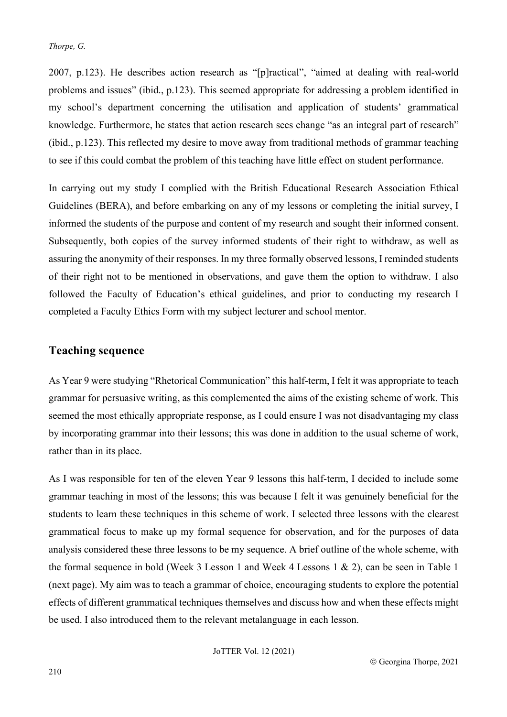2007, p.123). He describes action research as "[p]ractical", "aimed at dealing with real-world problems and issues" (ibid., p.123). This seemed appropriate for addressing a problem identified in my school's department concerning the utilisation and application of students' grammatical knowledge. Furthermore, he states that action research sees change "as an integral part of research" (ibid., p.123). This reflected my desire to move away from traditional methods of grammar teaching to see if this could combat the problem of this teaching have little effect on student performance.

In carrying out my study I complied with the British Educational Research Association Ethical Guidelines (BERA), and before embarking on any of my lessons or completing the initial survey, I informed the students of the purpose and content of my research and sought their informed consent. Subsequently, both copies of the survey informed students of their right to withdraw, as well as assuring the anonymity of their responses. In my three formally observed lessons, I reminded students of their right not to be mentioned in observations, and gave them the option to withdraw. I also followed the Faculty of Education's ethical guidelines, and prior to conducting my research I completed a Faculty Ethics Form with my subject lecturer and school mentor.

## **Teaching sequence**

As Year 9 were studying "Rhetorical Communication" this half-term, I felt it was appropriate to teach grammar for persuasive writing, as this complemented the aims of the existing scheme of work. This seemed the most ethically appropriate response, as I could ensure I was not disadvantaging my class by incorporating grammar into their lessons; this was done in addition to the usual scheme of work, rather than in its place.

As I was responsible for ten of the eleven Year 9 lessons this half-term, I decided to include some grammar teaching in most of the lessons; this was because I felt it was genuinely beneficial for the students to learn these techniques in this scheme of work. I selected three lessons with the clearest grammatical focus to make up my formal sequence for observation, and for the purposes of data analysis considered these three lessons to be my sequence. A brief outline of the whole scheme, with the formal sequence in bold (Week 3 Lesson 1 and Week 4 Lessons 1  $\&$  2), can be seen in Table 1 (next page). My aim was to teach a grammar of choice, encouraging students to explore the potential effects of different grammatical techniques themselves and discuss how and when these effects might be used. I also introduced them to the relevant metalanguage in each lesson.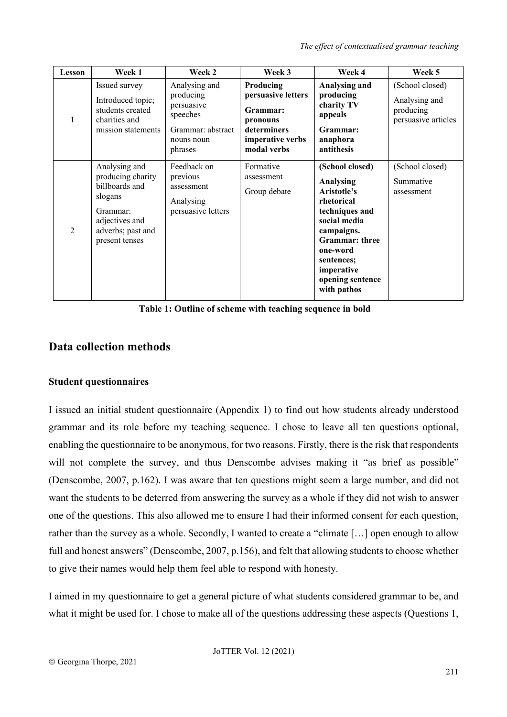*The effect of contextualised grammar teaching*

| <b>Lesson</b>  | Week 1                                                                                                                               | Week 2                                                                                             | Week 3                                                                                                    | Week 4                                                                                                                                                                                                        | Week 5                                                               |
|----------------|--------------------------------------------------------------------------------------------------------------------------------------|----------------------------------------------------------------------------------------------------|-----------------------------------------------------------------------------------------------------------|---------------------------------------------------------------------------------------------------------------------------------------------------------------------------------------------------------------|----------------------------------------------------------------------|
| $\mathbf{1}$   | Issued survey<br>Introduced topic;<br>students created<br>charities and<br>mission statements                                        | Analysing and<br>producing<br>persuasive<br>speeches<br>Grammar: abstract<br>nouns noun<br>phrases | Producing<br>persuasive letters<br>Grammar:<br>pronouns<br>determiners<br>imperative verbs<br>modal verbs | Analysing and<br>producing<br>charity TV<br>appeals<br>Grammar:<br>anaphora<br>antithesis                                                                                                                     | (School closed)<br>Analysing and<br>producing<br>persuasive articles |
| $\mathfrak{D}$ | Analysing and<br>producing charity<br>billboards and<br>slogans<br>Grammar:<br>adjectives and<br>adverbs; past and<br>present tenses | Feedback on<br>previous<br>assessment<br>Analysing<br>persuasive letters                           | Formative<br>assessment<br>Group debate                                                                   | (School closed)<br>Analysing<br>Aristotle's<br>rhetorical<br>techniques and<br>social media<br>campaigns.<br><b>Grammar:</b> three<br>one-word<br>sentences;<br>imperative<br>opening sentence<br>with pathos | (School closed)<br>Summative<br>assessment                           |

**Table 1: Outline of scheme with teaching sequence in bold**

## **Data collection methods**

#### **Student questionnaires**

I issued an initial student questionnaire (Appendix 1) to find out how students already understood grammar and its role before my teaching sequence. I chose to leave all ten questions optional, enabling the questionnaire to be anonymous, for two reasons. Firstly, there is the risk that respondents will not complete the survey, and thus Denscombe advises making it "as brief as possible" (Denscombe, 2007, p.162). I was aware that ten questions might seem a large number, and did not want the students to be deterred from answering the survey as a whole if they did not wish to answer one of the questions. This also allowed me to ensure I had their informed consent for each question, rather than the survey as a whole. Secondly, I wanted to create a "climate […] open enough to allow full and honest answers" (Denscombe, 2007, p.156), and felt that allowing students to choose whether to give their names would help them feel able to respond with honesty.

I aimed in my questionnaire to get a general picture of what students considered grammar to be, and what it might be used for. I chose to make all of the questions addressing these aspects (Questions 1,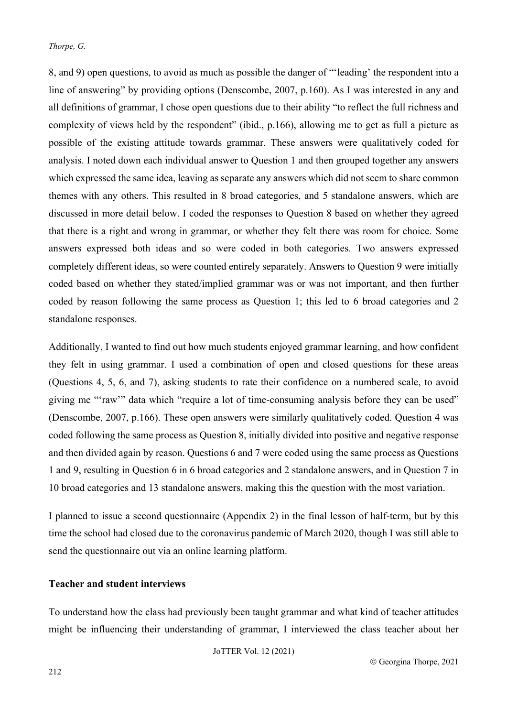8, and 9) open questions, to avoid as much as possible the danger of "'leading' the respondent into a line of answering" by providing options (Denscombe, 2007, p.160). As I was interested in any and all definitions of grammar, I chose open questions due to their ability "to reflect the full richness and complexity of views held by the respondent" (ibid., p.166), allowing me to get as full a picture as possible of the existing attitude towards grammar. These answers were qualitatively coded for analysis. I noted down each individual answer to Question 1 and then grouped together any answers which expressed the same idea, leaving as separate any answers which did not seem to share common themes with any others. This resulted in 8 broad categories, and 5 standalone answers, which are discussed in more detail below. I coded the responses to Question 8 based on whether they agreed that there is a right and wrong in grammar, or whether they felt there was room for choice. Some answers expressed both ideas and so were coded in both categories. Two answers expressed completely different ideas, so were counted entirely separately. Answers to Question 9 were initially coded based on whether they stated/implied grammar was or was not important, and then further coded by reason following the same process as Question 1; this led to 6 broad categories and 2 standalone responses.

Additionally, I wanted to find out how much students enjoyed grammar learning, and how confident they felt in using grammar. I used a combination of open and closed questions for these areas (Questions 4, 5, 6, and 7), asking students to rate their confidence on a numbered scale, to avoid giving me "'raw'" data which "require a lot of time-consuming analysis before they can be used" (Denscombe, 2007, p.166). These open answers were similarly qualitatively coded. Question 4 was coded following the same process as Question 8, initially divided into positive and negative response and then divided again by reason. Questions 6 and 7 were coded using the same process as Questions 1 and 9, resulting in Question 6 in 6 broad categories and 2 standalone answers, and in Question 7 in 10 broad categories and 13 standalone answers, making this the question with the most variation.

I planned to issue a second questionnaire (Appendix 2) in the final lesson of half-term, but by this time the school had closed due to the coronavirus pandemic of March 2020, though I was still able to send the questionnaire out via an online learning platform.

#### **Teacher and student interviews**

To understand how the class had previously been taught grammar and what kind of teacher attitudes might be influencing their understanding of grammar, I interviewed the class teacher about her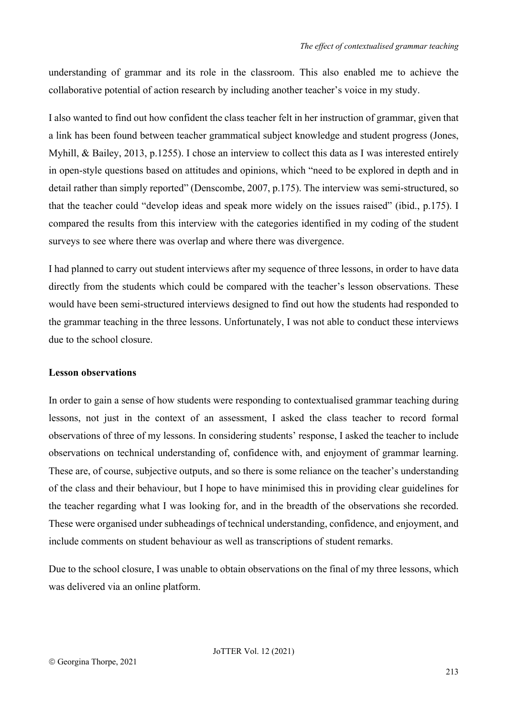understanding of grammar and its role in the classroom. This also enabled me to achieve the collaborative potential of action research by including another teacher's voice in my study.

I also wanted to find out how confident the class teacher felt in her instruction of grammar, given that a link has been found between teacher grammatical subject knowledge and student progress (Jones, Myhill, & Bailey, 2013, p.1255). I chose an interview to collect this data as I was interested entirely in open-style questions based on attitudes and opinions, which "need to be explored in depth and in detail rather than simply reported" (Denscombe, 2007, p.175). The interview was semi-structured, so that the teacher could "develop ideas and speak more widely on the issues raised" (ibid., p.175). I compared the results from this interview with the categories identified in my coding of the student surveys to see where there was overlap and where there was divergence.

I had planned to carry out student interviews after my sequence of three lessons, in order to have data directly from the students which could be compared with the teacher's lesson observations. These would have been semi-structured interviews designed to find out how the students had responded to the grammar teaching in the three lessons. Unfortunately, I was not able to conduct these interviews due to the school closure.

#### **Lesson observations**

In order to gain a sense of how students were responding to contextualised grammar teaching during lessons, not just in the context of an assessment, I asked the class teacher to record formal observations of three of my lessons. In considering students' response, I asked the teacher to include observations on technical understanding of, confidence with, and enjoyment of grammar learning. These are, of course, subjective outputs, and so there is some reliance on the teacher's understanding of the class and their behaviour, but I hope to have minimised this in providing clear guidelines for the teacher regarding what I was looking for, and in the breadth of the observations she recorded. These were organised under subheadings of technical understanding, confidence, and enjoyment, and include comments on student behaviour as well as transcriptions of student remarks.

Due to the school closure, I was unable to obtain observations on the final of my three lessons, which was delivered via an online platform.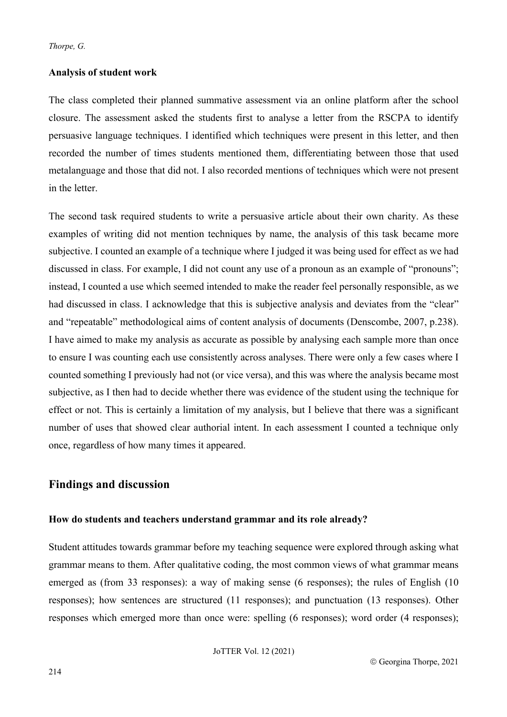#### **Analysis of student work**

The class completed their planned summative assessment via an online platform after the school closure. The assessment asked the students first to analyse a letter from the RSCPA to identify persuasive language techniques. I identified which techniques were present in this letter, and then recorded the number of times students mentioned them, differentiating between those that used metalanguage and those that did not. I also recorded mentions of techniques which were not present in the letter.

The second task required students to write a persuasive article about their own charity. As these examples of writing did not mention techniques by name, the analysis of this task became more subjective. I counted an example of a technique where I judged it was being used for effect as we had discussed in class. For example, I did not count any use of a pronoun as an example of "pronouns"; instead, I counted a use which seemed intended to make the reader feel personally responsible, as we had discussed in class. I acknowledge that this is subjective analysis and deviates from the "clear" and "repeatable" methodological aims of content analysis of documents (Denscombe, 2007, p.238). I have aimed to make my analysis as accurate as possible by analysing each sample more than once to ensure I was counting each use consistently across analyses. There were only a few cases where I counted something I previously had not (or vice versa), and this was where the analysis became most subjective, as I then had to decide whether there was evidence of the student using the technique for effect or not. This is certainly a limitation of my analysis, but I believe that there was a significant number of uses that showed clear authorial intent. In each assessment I counted a technique only once, regardless of how many times it appeared.

## **Findings and discussion**

#### **How do students and teachers understand grammar and its role already?**

Student attitudes towards grammar before my teaching sequence were explored through asking what grammar means to them. After qualitative coding, the most common views of what grammar means emerged as (from 33 responses): a way of making sense (6 responses); the rules of English (10 responses); how sentences are structured (11 responses); and punctuation (13 responses). Other responses which emerged more than once were: spelling (6 responses); word order (4 responses);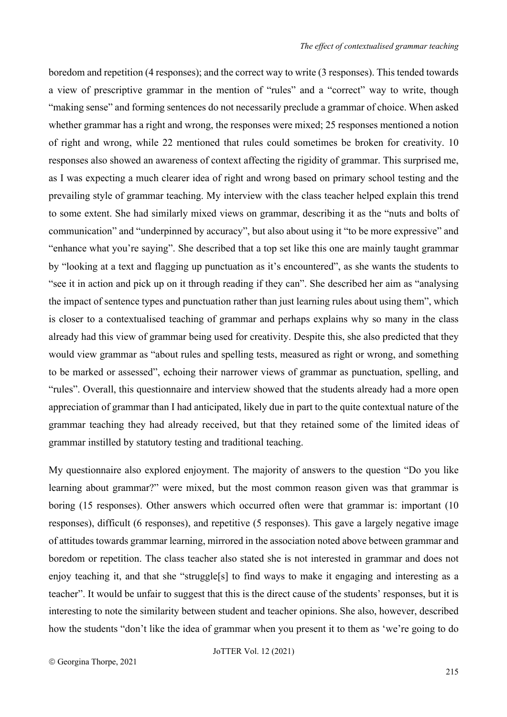boredom and repetition (4 responses); and the correct way to write (3 responses). This tended towards a view of prescriptive grammar in the mention of "rules" and a "correct" way to write, though "making sense" and forming sentences do not necessarily preclude a grammar of choice. When asked whether grammar has a right and wrong, the responses were mixed; 25 responses mentioned a notion of right and wrong, while 22 mentioned that rules could sometimes be broken for creativity. 10 responses also showed an awareness of context affecting the rigidity of grammar. This surprised me, as I was expecting a much clearer idea of right and wrong based on primary school testing and the prevailing style of grammar teaching. My interview with the class teacher helped explain this trend to some extent. She had similarly mixed views on grammar, describing it as the "nuts and bolts of communication" and "underpinned by accuracy", but also about using it "to be more expressive" and "enhance what you're saying". She described that a top set like this one are mainly taught grammar by "looking at a text and flagging up punctuation as it's encountered", as she wants the students to "see it in action and pick up on it through reading if they can". She described her aim as "analysing the impact of sentence types and punctuation rather than just learning rules about using them", which is closer to a contextualised teaching of grammar and perhaps explains why so many in the class already had this view of grammar being used for creativity. Despite this, she also predicted that they would view grammar as "about rules and spelling tests, measured as right or wrong, and something to be marked or assessed", echoing their narrower views of grammar as punctuation, spelling, and "rules". Overall, this questionnaire and interview showed that the students already had a more open appreciation of grammar than I had anticipated, likely due in part to the quite contextual nature of the grammar teaching they had already received, but that they retained some of the limited ideas of grammar instilled by statutory testing and traditional teaching.

My questionnaire also explored enjoyment. The majority of answers to the question "Do you like learning about grammar?" were mixed, but the most common reason given was that grammar is boring (15 responses). Other answers which occurred often were that grammar is: important (10 responses), difficult (6 responses), and repetitive (5 responses). This gave a largely negative image of attitudes towards grammar learning, mirrored in the association noted above between grammar and boredom or repetition. The class teacher also stated she is not interested in grammar and does not enjoy teaching it, and that she "struggle<sup>[s]</sup> to find ways to make it engaging and interesting as a teacher". It would be unfair to suggest that this is the direct cause of the students' responses, but it is interesting to note the similarity between student and teacher opinions. She also, however, described how the students "don't like the idea of grammar when you present it to them as 'we're going to do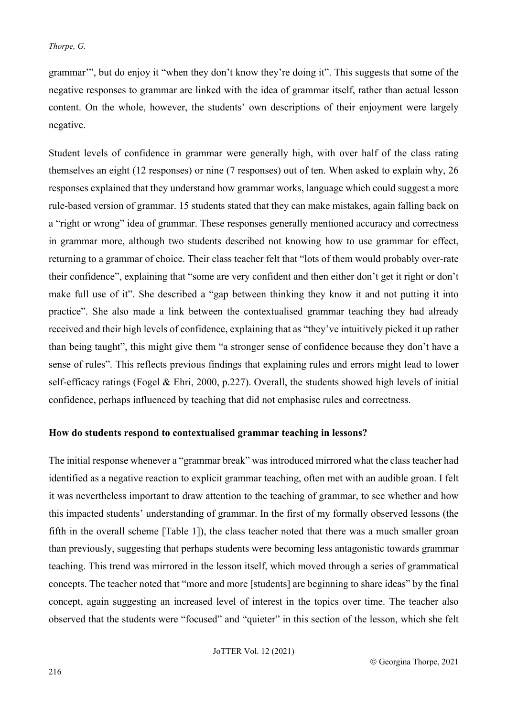grammar'", but do enjoy it "when they don't know they're doing it". This suggests that some of the negative responses to grammar are linked with the idea of grammar itself, rather than actual lesson content. On the whole, however, the students' own descriptions of their enjoyment were largely negative.

Student levels of confidence in grammar were generally high, with over half of the class rating themselves an eight (12 responses) or nine (7 responses) out of ten. When asked to explain why, 26 responses explained that they understand how grammar works, language which could suggest a more rule-based version of grammar. 15 students stated that they can make mistakes, again falling back on a "right or wrong" idea of grammar. These responses generally mentioned accuracy and correctness in grammar more, although two students described not knowing how to use grammar for effect, returning to a grammar of choice. Their class teacher felt that "lots of them would probably over-rate their confidence", explaining that "some are very confident and then either don't get it right or don't make full use of it". She described a "gap between thinking they know it and not putting it into practice". She also made a link between the contextualised grammar teaching they had already received and their high levels of confidence, explaining that as "they've intuitively picked it up rather than being taught", this might give them "a stronger sense of confidence because they don't have a sense of rules". This reflects previous findings that explaining rules and errors might lead to lower self-efficacy ratings (Fogel & Ehri, 2000, p.227). Overall, the students showed high levels of initial confidence, perhaps influenced by teaching that did not emphasise rules and correctness.

#### **How do students respond to contextualised grammar teaching in lessons?**

The initial response whenever a "grammar break" was introduced mirrored what the class teacher had identified as a negative reaction to explicit grammar teaching, often met with an audible groan. I felt it was nevertheless important to draw attention to the teaching of grammar, to see whether and how this impacted students' understanding of grammar. In the first of my formally observed lessons (the fifth in the overall scheme [Table 1]), the class teacher noted that there was a much smaller groan than previously, suggesting that perhaps students were becoming less antagonistic towards grammar teaching. This trend was mirrored in the lesson itself, which moved through a series of grammatical concepts. The teacher noted that "more and more [students] are beginning to share ideas" by the final concept, again suggesting an increased level of interest in the topics over time. The teacher also observed that the students were "focused" and "quieter" in this section of the lesson, which she felt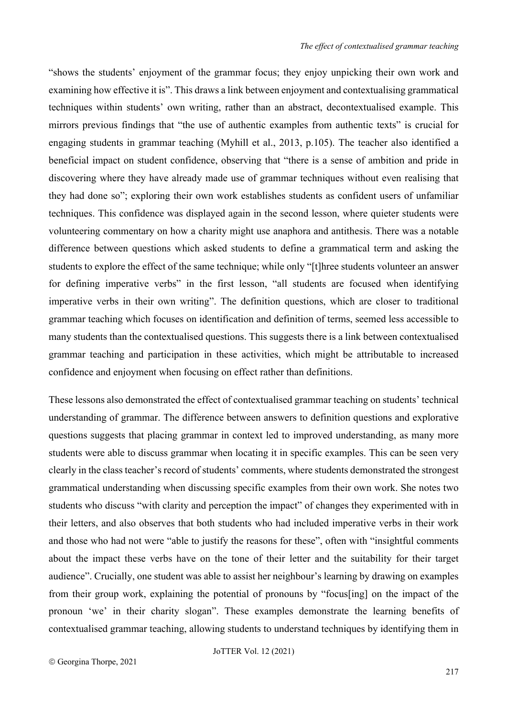"shows the students' enjoyment of the grammar focus; they enjoy unpicking their own work and examining how effective it is". This draws a link between enjoyment and contextualising grammatical techniques within students' own writing, rather than an abstract, decontextualised example. This mirrors previous findings that "the use of authentic examples from authentic texts" is crucial for engaging students in grammar teaching (Myhill et al., 2013, p.105). The teacher also identified a beneficial impact on student confidence, observing that "there is a sense of ambition and pride in discovering where they have already made use of grammar techniques without even realising that they had done so"; exploring their own work establishes students as confident users of unfamiliar techniques. This confidence was displayed again in the second lesson, where quieter students were volunteering commentary on how a charity might use anaphora and antithesis. There was a notable difference between questions which asked students to define a grammatical term and asking the students to explore the effect of the same technique; while only "[t]hree students volunteer an answer for defining imperative verbs" in the first lesson, "all students are focused when identifying imperative verbs in their own writing". The definition questions, which are closer to traditional grammar teaching which focuses on identification and definition of terms, seemed less accessible to many students than the contextualised questions. This suggests there is a link between contextualised grammar teaching and participation in these activities, which might be attributable to increased confidence and enjoyment when focusing on effect rather than definitions.

These lessons also demonstrated the effect of contextualised grammar teaching on students' technical understanding of grammar. The difference between answers to definition questions and explorative questions suggests that placing grammar in context led to improved understanding, as many more students were able to discuss grammar when locating it in specific examples. This can be seen very clearly in the class teacher's record of students' comments, where students demonstrated the strongest grammatical understanding when discussing specific examples from their own work. She notes two students who discuss "with clarity and perception the impact" of changes they experimented with in their letters, and also observes that both students who had included imperative verbs in their work and those who had not were "able to justify the reasons for these", often with "insightful comments about the impact these verbs have on the tone of their letter and the suitability for their target audience". Crucially, one student was able to assist her neighbour's learning by drawing on examples from their group work, explaining the potential of pronouns by "focus[ing] on the impact of the pronoun 'we' in their charity slogan". These examples demonstrate the learning benefits of contextualised grammar teaching, allowing students to understand techniques by identifying them in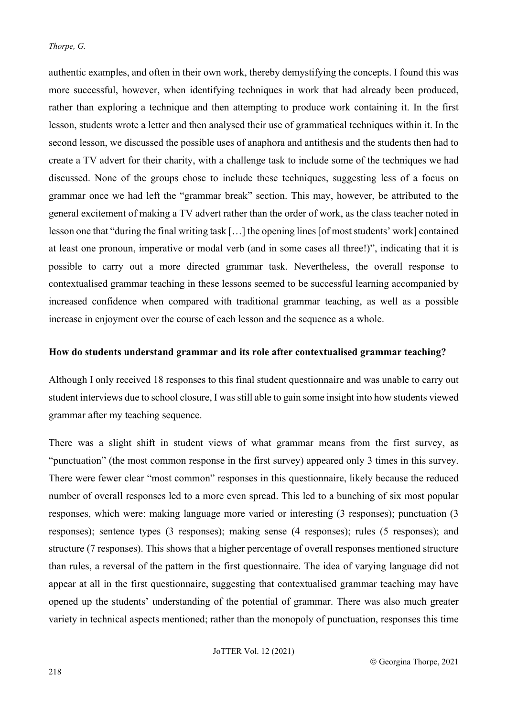authentic examples, and often in their own work, thereby demystifying the concepts. I found this was more successful, however, when identifying techniques in work that had already been produced, rather than exploring a technique and then attempting to produce work containing it. In the first lesson, students wrote a letter and then analysed their use of grammatical techniques within it. In the second lesson, we discussed the possible uses of anaphora and antithesis and the students then had to create a TV advert for their charity, with a challenge task to include some of the techniques we had discussed. None of the groups chose to include these techniques, suggesting less of a focus on grammar once we had left the "grammar break" section. This may, however, be attributed to the general excitement of making a TV advert rather than the order of work, as the class teacher noted in lesson one that "during the final writing task […] the opening lines [of most students' work] contained at least one pronoun, imperative or modal verb (and in some cases all three!)", indicating that it is possible to carry out a more directed grammar task. Nevertheless, the overall response to contextualised grammar teaching in these lessons seemed to be successful learning accompanied by increased confidence when compared with traditional grammar teaching, as well as a possible increase in enjoyment over the course of each lesson and the sequence as a whole.

#### **How do students understand grammar and its role after contextualised grammar teaching?**

Although I only received 18 responses to this final student questionnaire and was unable to carry out student interviews due to school closure, I was still able to gain some insight into how students viewed grammar after my teaching sequence.

There was a slight shift in student views of what grammar means from the first survey, as "punctuation" (the most common response in the first survey) appeared only 3 times in this survey. There were fewer clear "most common" responses in this questionnaire, likely because the reduced number of overall responses led to a more even spread. This led to a bunching of six most popular responses, which were: making language more varied or interesting (3 responses); punctuation (3 responses); sentence types (3 responses); making sense (4 responses); rules (5 responses); and structure (7 responses). This shows that a higher percentage of overall responses mentioned structure than rules, a reversal of the pattern in the first questionnaire. The idea of varying language did not appear at all in the first questionnaire, suggesting that contextualised grammar teaching may have opened up the students' understanding of the potential of grammar. There was also much greater variety in technical aspects mentioned; rather than the monopoly of punctuation, responses this time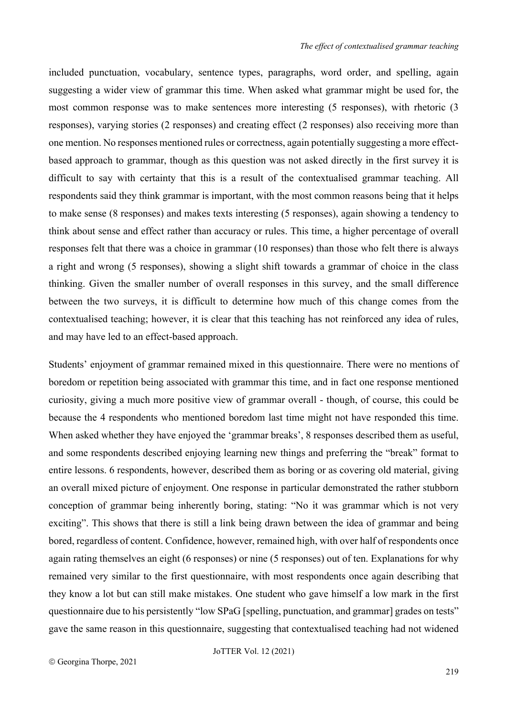included punctuation, vocabulary, sentence types, paragraphs, word order, and spelling, again suggesting a wider view of grammar this time. When asked what grammar might be used for, the most common response was to make sentences more interesting (5 responses), with rhetoric (3 responses), varying stories (2 responses) and creating effect (2 responses) also receiving more than one mention. No responses mentioned rules or correctness, again potentially suggesting a more effectbased approach to grammar, though as this question was not asked directly in the first survey it is difficult to say with certainty that this is a result of the contextualised grammar teaching. All respondents said they think grammar is important, with the most common reasons being that it helps to make sense (8 responses) and makes texts interesting (5 responses), again showing a tendency to think about sense and effect rather than accuracy or rules. This time, a higher percentage of overall responses felt that there was a choice in grammar (10 responses) than those who felt there is always a right and wrong (5 responses), showing a slight shift towards a grammar of choice in the class thinking. Given the smaller number of overall responses in this survey, and the small difference between the two surveys, it is difficult to determine how much of this change comes from the contextualised teaching; however, it is clear that this teaching has not reinforced any idea of rules, and may have led to an effect-based approach.

Students' enjoyment of grammar remained mixed in this questionnaire. There were no mentions of boredom or repetition being associated with grammar this time, and in fact one response mentioned curiosity, giving a much more positive view of grammar overall - though, of course, this could be because the 4 respondents who mentioned boredom last time might not have responded this time. When asked whether they have enjoyed the 'grammar breaks', 8 responses described them as useful, and some respondents described enjoying learning new things and preferring the "break" format to entire lessons. 6 respondents, however, described them as boring or as covering old material, giving an overall mixed picture of enjoyment. One response in particular demonstrated the rather stubborn conception of grammar being inherently boring, stating: "No it was grammar which is not very exciting". This shows that there is still a link being drawn between the idea of grammar and being bored, regardless of content. Confidence, however, remained high, with over half of respondents once again rating themselves an eight (6 responses) or nine (5 responses) out of ten. Explanations for why remained very similar to the first questionnaire, with most respondents once again describing that they know a lot but can still make mistakes. One student who gave himself a low mark in the first questionnaire due to his persistently "low SPaG [spelling, punctuation, and grammar] grades on tests" gave the same reason in this questionnaire, suggesting that contextualised teaching had not widened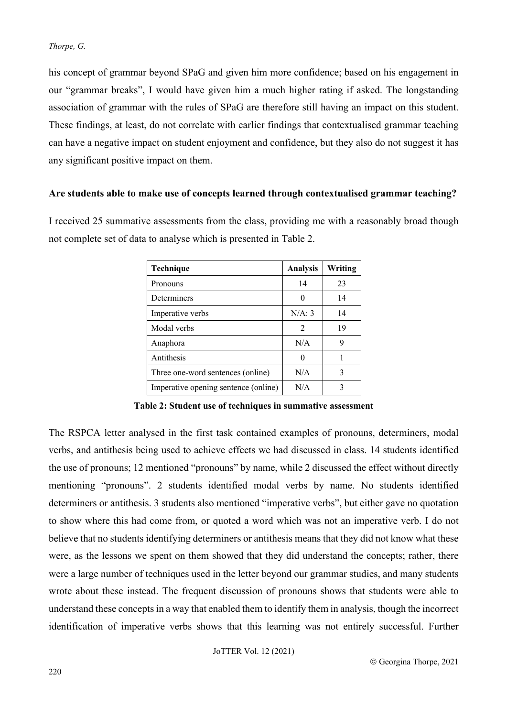his concept of grammar beyond SPaG and given him more confidence; based on his engagement in our "grammar breaks", I would have given him a much higher rating if asked. The longstanding association of grammar with the rules of SPaG are therefore still having an impact on this student. These findings, at least, do not correlate with earlier findings that contextualised grammar teaching can have a negative impact on student enjoyment and confidence, but they also do not suggest it has any significant positive impact on them.

#### **Are students able to make use of concepts learned through contextualised grammar teaching?**

I received 25 summative assessments from the class, providing me with a reasonably broad though not complete set of data to analyse which is presented in Table 2.

| Technique                            | <b>Analysis</b> | Writing |
|--------------------------------------|-----------------|---------|
| Pronouns                             | 14              | 23      |
| Determiners                          |                 | 14      |
| Imperative verbs                     | N/A: 3          | 14      |
| Modal verbs                          | $\mathfrak{D}$  | 19      |
| Anaphora                             | N/A             | 9       |
| Antithesis                           |                 |         |
| Three one-word sentences (online)    | N/A             | 3       |
| Imperative opening sentence (online) | N/A             |         |

**Table 2: Student use of techniques in summative assessment**

The RSPCA letter analysed in the first task contained examples of pronouns, determiners, modal verbs, and antithesis being used to achieve effects we had discussed in class. 14 students identified the use of pronouns; 12 mentioned "pronouns" by name, while 2 discussed the effect without directly mentioning "pronouns". 2 students identified modal verbs by name. No students identified determiners or antithesis. 3 students also mentioned "imperative verbs", but either gave no quotation to show where this had come from, or quoted a word which was not an imperative verb. I do not believe that no students identifying determiners or antithesis means that they did not know what these were, as the lessons we spent on them showed that they did understand the concepts; rather, there were a large number of techniques used in the letter beyond our grammar studies, and many students wrote about these instead. The frequent discussion of pronouns shows that students were able to understand these concepts in a way that enabled them to identify them in analysis, though the incorrect identification of imperative verbs shows that this learning was not entirely successful. Further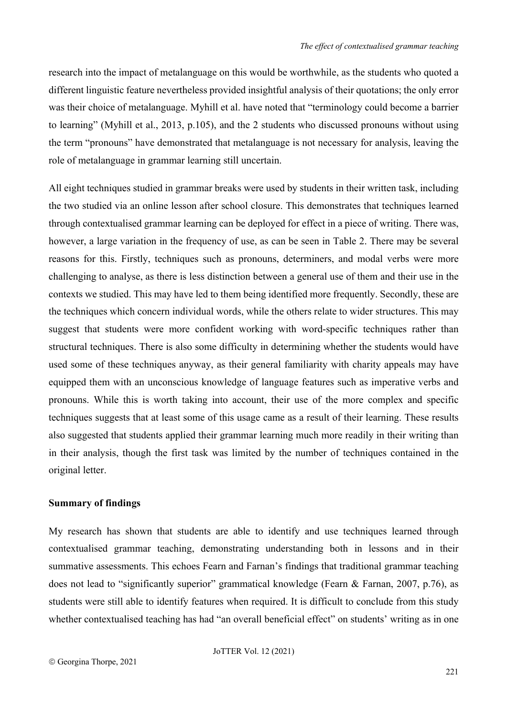research into the impact of metalanguage on this would be worthwhile, as the students who quoted a different linguistic feature nevertheless provided insightful analysis of their quotations; the only error was their choice of metalanguage. Myhill et al. have noted that "terminology could become a barrier to learning" (Myhill et al., 2013, p.105), and the 2 students who discussed pronouns without using the term "pronouns" have demonstrated that metalanguage is not necessary for analysis, leaving the role of metalanguage in grammar learning still uncertain.

All eight techniques studied in grammar breaks were used by students in their written task, including the two studied via an online lesson after school closure. This demonstrates that techniques learned through contextualised grammar learning can be deployed for effect in a piece of writing. There was, however, a large variation in the frequency of use, as can be seen in Table 2. There may be several reasons for this. Firstly, techniques such as pronouns, determiners, and modal verbs were more challenging to analyse, as there is less distinction between a general use of them and their use in the contexts we studied. This may have led to them being identified more frequently. Secondly, these are the techniques which concern individual words, while the others relate to wider structures. This may suggest that students were more confident working with word-specific techniques rather than structural techniques. There is also some difficulty in determining whether the students would have used some of these techniques anyway, as their general familiarity with charity appeals may have equipped them with an unconscious knowledge of language features such as imperative verbs and pronouns. While this is worth taking into account, their use of the more complex and specific techniques suggests that at least some of this usage came as a result of their learning. These results also suggested that students applied their grammar learning much more readily in their writing than in their analysis, though the first task was limited by the number of techniques contained in the original letter.

#### **Summary of findings**

My research has shown that students are able to identify and use techniques learned through contextualised grammar teaching, demonstrating understanding both in lessons and in their summative assessments. This echoes Fearn and Farnan's findings that traditional grammar teaching does not lead to "significantly superior" grammatical knowledge (Fearn & Farnan, 2007, p.76), as students were still able to identify features when required. It is difficult to conclude from this study whether contextualised teaching has had "an overall beneficial effect" on students' writing as in one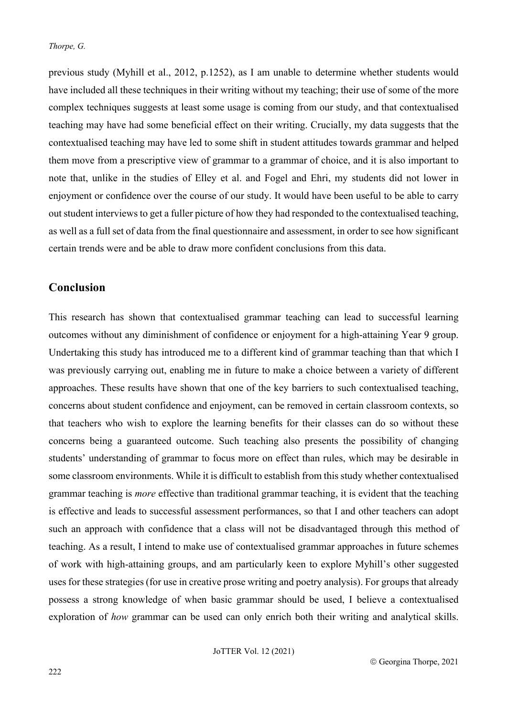previous study (Myhill et al., 2012, p.1252), as I am unable to determine whether students would have included all these techniques in their writing without my teaching; their use of some of the more complex techniques suggests at least some usage is coming from our study, and that contextualised teaching may have had some beneficial effect on their writing. Crucially, my data suggests that the contextualised teaching may have led to some shift in student attitudes towards grammar and helped them move from a prescriptive view of grammar to a grammar of choice, and it is also important to note that, unlike in the studies of Elley et al. and Fogel and Ehri, my students did not lower in enjoyment or confidence over the course of our study. It would have been useful to be able to carry out student interviews to get a fuller picture of how they had responded to the contextualised teaching, as well as a full set of data from the final questionnaire and assessment, in order to see how significant certain trends were and be able to draw more confident conclusions from this data.

#### **Conclusion**

This research has shown that contextualised grammar teaching can lead to successful learning outcomes without any diminishment of confidence or enjoyment for a high-attaining Year 9 group. Undertaking this study has introduced me to a different kind of grammar teaching than that which I was previously carrying out, enabling me in future to make a choice between a variety of different approaches. These results have shown that one of the key barriers to such contextualised teaching, concerns about student confidence and enjoyment, can be removed in certain classroom contexts, so that teachers who wish to explore the learning benefits for their classes can do so without these concerns being a guaranteed outcome. Such teaching also presents the possibility of changing students' understanding of grammar to focus more on effect than rules, which may be desirable in some classroom environments. While it is difficult to establish from this study whether contextualised grammar teaching is *more* effective than traditional grammar teaching, it is evident that the teaching is effective and leads to successful assessment performances, so that I and other teachers can adopt such an approach with confidence that a class will not be disadvantaged through this method of teaching. As a result, I intend to make use of contextualised grammar approaches in future schemes of work with high-attaining groups, and am particularly keen to explore Myhill's other suggested uses for these strategies (for use in creative prose writing and poetry analysis). For groups that already possess a strong knowledge of when basic grammar should be used, I believe a contextualised exploration of *how* grammar can be used can only enrich both their writing and analytical skills.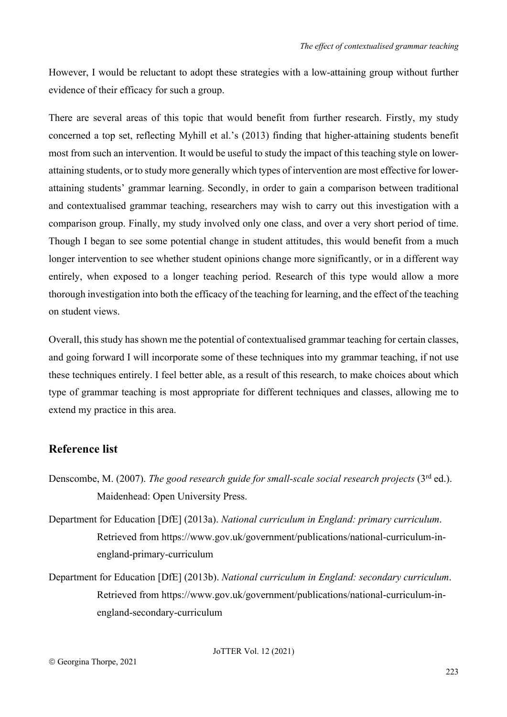However, I would be reluctant to adopt these strategies with a low-attaining group without further evidence of their efficacy for such a group.

There are several areas of this topic that would benefit from further research. Firstly, my study concerned a top set, reflecting Myhill et al.'s (2013) finding that higher-attaining students benefit most from such an intervention. It would be useful to study the impact of this teaching style on lowerattaining students, or to study more generally which types of intervention are most effective for lowerattaining students' grammar learning. Secondly, in order to gain a comparison between traditional and contextualised grammar teaching, researchers may wish to carry out this investigation with a comparison group. Finally, my study involved only one class, and over a very short period of time. Though I began to see some potential change in student attitudes, this would benefit from a much longer intervention to see whether student opinions change more significantly, or in a different way entirely, when exposed to a longer teaching period. Research of this type would allow a more thorough investigation into both the efficacy of the teaching for learning, and the effect of the teaching on student views.

Overall, this study has shown me the potential of contextualised grammar teaching for certain classes, and going forward I will incorporate some of these techniques into my grammar teaching, if not use these techniques entirely. I feel better able, as a result of this research, to make choices about which type of grammar teaching is most appropriate for different techniques and classes, allowing me to extend my practice in this area.

## **Reference list**

- Denscombe, M. (2007). *The good research guide for small-scale social research projects* (3rd ed.). Maidenhead: Open University Press.
- Department for Education [DfE] (2013a). *National curriculum in England: primary curriculum*. Retrieved from https://www.gov.uk/government/publications/national-curriculum-inengland-primary-curriculum
- Department for Education [DfE] (2013b). *National curriculum in England: secondary curriculum*. Retrieved from https://www.gov.uk/government/publications/national-curriculum-inengland-secondary-curriculum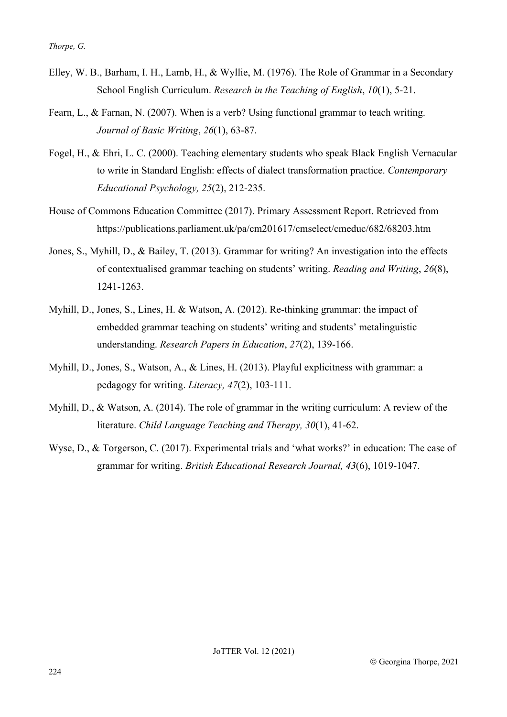- Elley, W. B., Barham, I. H., Lamb, H., & Wyllie, M. (1976). The Role of Grammar in a Secondary School English Curriculum. *Research in the Teaching of English*, *10*(1), 5-21.
- Fearn, L., & Farnan, N. (2007). When is a verb? Using functional grammar to teach writing. *Journal of Basic Writing*, *26*(1), 63-87.
- Fogel, H., & Ehri, L. C. (2000). Teaching elementary students who speak Black English Vernacular to write in Standard English: effects of dialect transformation practice. *Contemporary Educational Psychology, 25*(2), 212-235.
- House of Commons Education Committee (2017). Primary Assessment Report. Retrieved from https://publications.parliament.uk/pa/cm201617/cmselect/cmeduc/682/68203.htm
- Jones, S., Myhill, D., & Bailey, T. (2013). Grammar for writing? An investigation into the effects of contextualised grammar teaching on students' writing. *Reading and Writing*, *26*(8), 1241-1263.
- Myhill, D., Jones, S., Lines, H. & Watson, A. (2012). Re-thinking grammar: the impact of embedded grammar teaching on students' writing and students' metalinguistic understanding. *Research Papers in Education*, *27*(2), 139-166.
- Myhill, D., Jones, S., Watson, A., & Lines, H. (2013). Playful explicitness with grammar: a pedagogy for writing. *Literacy, 47*(2), 103-111.
- Myhill, D., & Watson, A. (2014). The role of grammar in the writing curriculum: A review of the literature. *Child Language Teaching and Therapy, 30*(1), 41-62.
- Wyse, D., & Torgerson, C. (2017). Experimental trials and 'what works?' in education: The case of grammar for writing. *British Educational Research Journal, 43*(6), 1019-1047.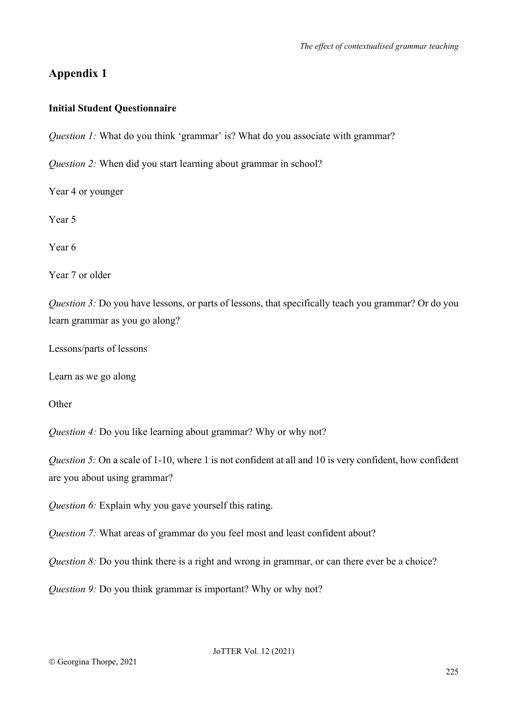## **Appendix 1**

#### **Initial Student Questionnaire**

*Question 1:* What do you think 'grammar' is? What do you associate with grammar?

*Question 2:* When did you start learning about grammar in school?

Year 4 or younger

Year 5

Year 6

Year 7 or older

*Question 3:* Do you have lessons, or parts of lessons, that specifically teach you grammar? Or do you learn grammar as you go along?

Lessons/parts of lessons

Learn as we go along

**Other** 

*Question 4:* Do you like learning about grammar? Why or why not?

*Question 5:* On a scale of 1-10, where 1 is not confident at all and 10 is very confident, how confident are you about using grammar?

*Question 6:* Explain why you gave yourself this rating.

*Question 7:* What areas of grammar do you feel most and least confident about?

*Question 8:* Do you think there is a right and wrong in grammar, or can there ever be a choice?

*Question 9:* Do you think grammar is important? Why or why not?